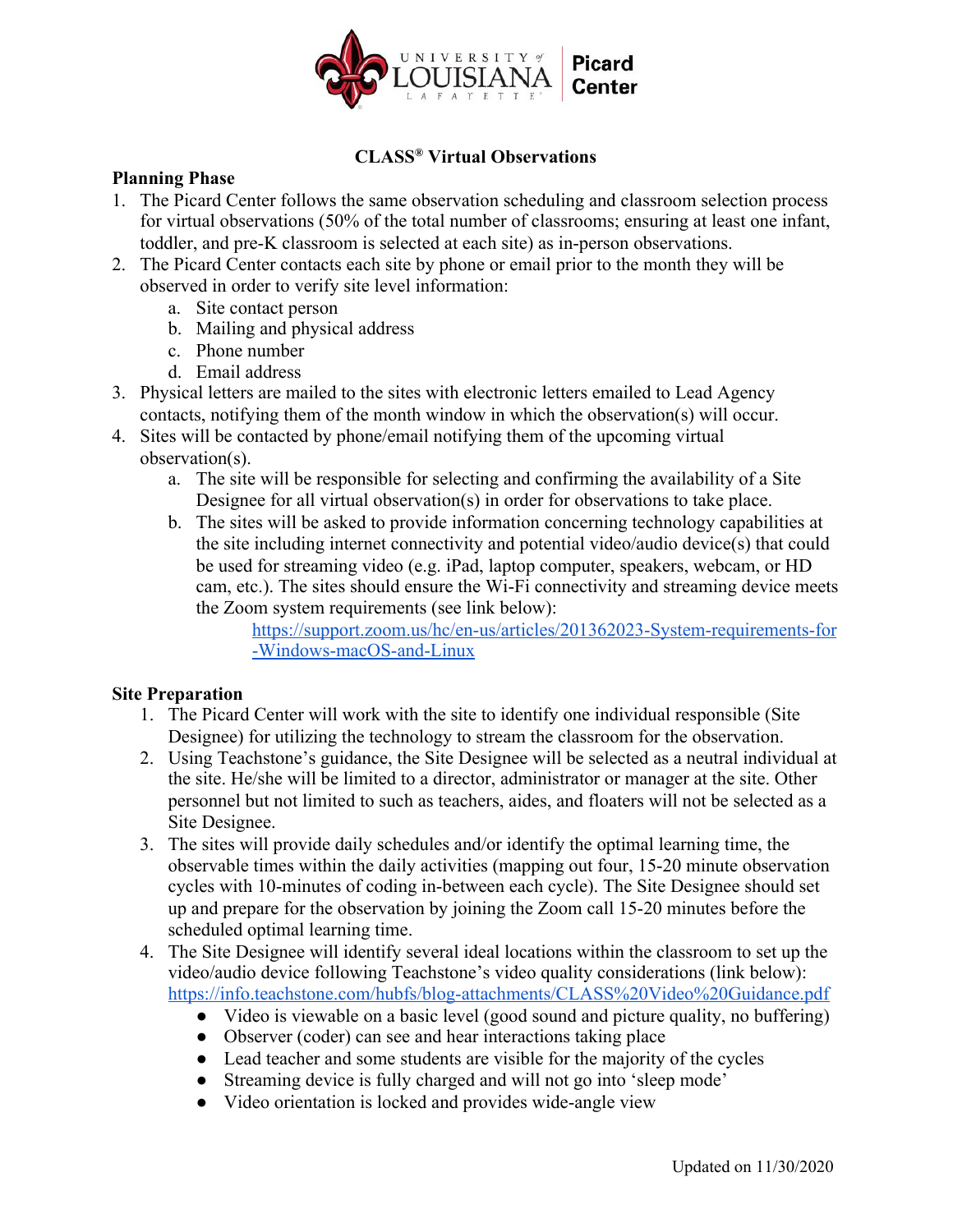

# **CLASS® Virtual Observations**

### **Planning Phase**

- 1. The Picard Center follows the same observation scheduling and classroom selection process for virtual observations (50% of the total number of classrooms; ensuring at least one infant, toddler, and pre-K classroom is selected at each site) as in-person observations.
- 2. The Picard Center contacts each site by phone or email prior to the month they will be observed in order to verify site level information:
	- a. Site contact person
	- b. Mailing and physical address
	- c. Phone number
	- d. Email address
- 3. Physical letters are mailed to the sites with electronic letters emailed to Lead Agency contacts, notifying them of the month window in which the observation(s) will occur.
- 4. Sites will be contacted by phone/email notifying them of the upcoming virtual observation(s).
	- a. The site will be responsible for selecting and confirming the availability of a Site Designee for all virtual observation(s) in order for observations to take place.
	- b. The sites will be asked to provide information concerning technology capabilities at the site including internet connectivity and potential video/audio device(s) that could be used for streaming video (e.g. iPad, laptop computer, speakers, webcam, or HD cam, etc.). The sites should ensure the Wi-Fi connectivity and streaming device meets the Zoom system requirements (see link below):

https://support.zoom.us/hc/en-us/articles/201362023-System-requirements-for -Windows-macOS-and-Linux

## **Site Preparation**

- 1. The Picard Center will work with the site to identify one individual responsible (Site Designee) for utilizing the technology to stream the classroom for the observation.
- 2. Using Teachstone's guidance, the Site Designee will be selected as a neutral individual at the site. He/she will be limited to a director, administrator or manager at the site. Other personnel but not limited to such as teachers, aides, and floaters will not be selected as a Site Designee.
- 3. The sites will provide daily schedules and/or identify the optimal learning time, the observable times within the daily activities (mapping out four, 15-20 minute observation cycles with 10-minutes of coding in-between each cycle). The Site Designee should set up and prepare for the observation by joining the Zoom call 15-20 minutes before the scheduled optimal learning time.
- 4. The Site Designee will identify several ideal locations within the classroom to set up the video/audio device following Teachstone's video quality considerations (link below): https://info.teachstone.com/hubfs/blog-attachments/CLASS%20Video%20Guidance.pdf
	- Video is viewable on a basic level (good sound and picture quality, no buffering)
	- Observer (coder) can see and hear interactions taking place
	- Lead teacher and some students are visible for the majority of the cycles
	- Streaming device is fully charged and will not go into 'sleep mode'
	- Video orientation is locked and provides wide-angle view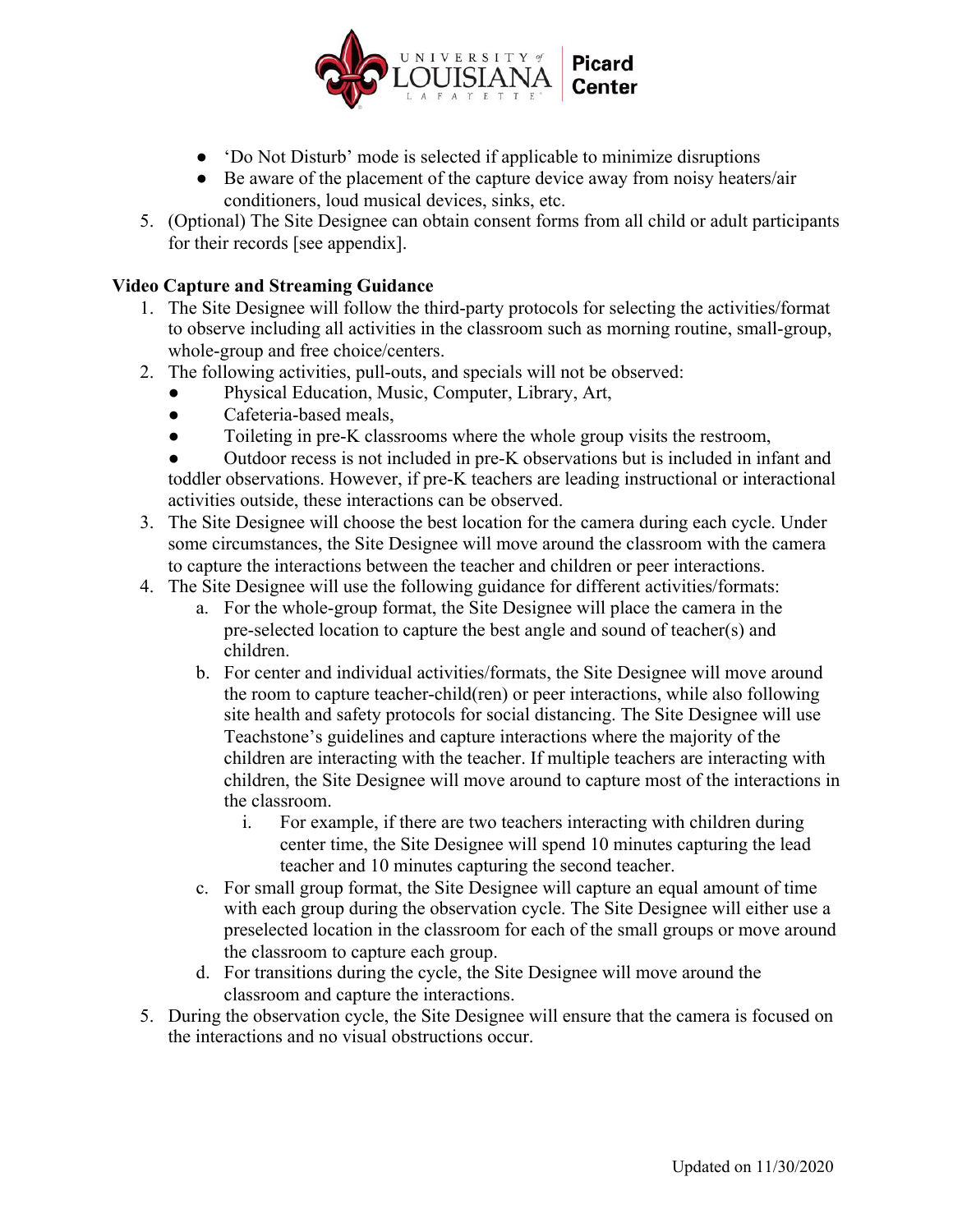

- 'Do Not Disturb' mode is selected if applicable to minimize disruptions
- Be aware of the placement of the capture device away from noisy heaters/air conditioners, loud musical devices, sinks, etc.
- 5. (Optional) The Site Designee can obtain consent forms from all child or adult participants for their records [see appendix].

### **Video Capture and Streaming Guidance**

- 1. The Site Designee will follow the third-party protocols for selecting the activities/format to observe including all activities in the classroom such as morning routine, small-group, whole-group and free choice/centers.
- 2. The following activities, pull-outs, and specials will not be observed:
	- Physical Education, Music, Computer, Library, Art,
	- Cafeteria-based meals,
	- Toileting in pre-K classrooms where the whole group visits the restroom,

Outdoor recess is not included in pre-K observations but is included in infant and toddler observations. However, if pre-K teachers are leading instructional or interactional activities outside, these interactions can be observed.

- 3. The Site Designee will choose the best location for the camera during each cycle. Under some circumstances, the Site Designee will move around the classroom with the camera to capture the interactions between the teacher and children or peer interactions.
- 4. The Site Designee will use the following guidance for different activities/formats:
	- a. For the whole-group format, the Site Designee will place the camera in the pre-selected location to capture the best angle and sound of teacher(s) and children.
	- b. For center and individual activities/formats, the Site Designee will move around the room to capture teacher-child(ren) or peer interactions, while also following site health and safety protocols for social distancing. The Site Designee will use Teachstone's guidelines and capture interactions where the majority of the children are interacting with the teacher. If multiple teachers are interacting with children, the Site Designee will move around to capture most of the interactions in the classroom.
		- i. For example, if there are two teachers interacting with children during center time, the Site Designee will spend 10 minutes capturing the lead teacher and 10 minutes capturing the second teacher.
	- c. For small group format, the Site Designee will capture an equal amount of time with each group during the observation cycle. The Site Designee will either use a preselected location in the classroom for each of the small groups or move around the classroom to capture each group.
	- d. For transitions during the cycle, the Site Designee will move around the classroom and capture the interactions.
- 5. During the observation cycle, the Site Designee will ensure that the camera is focused on the interactions and no visual obstructions occur.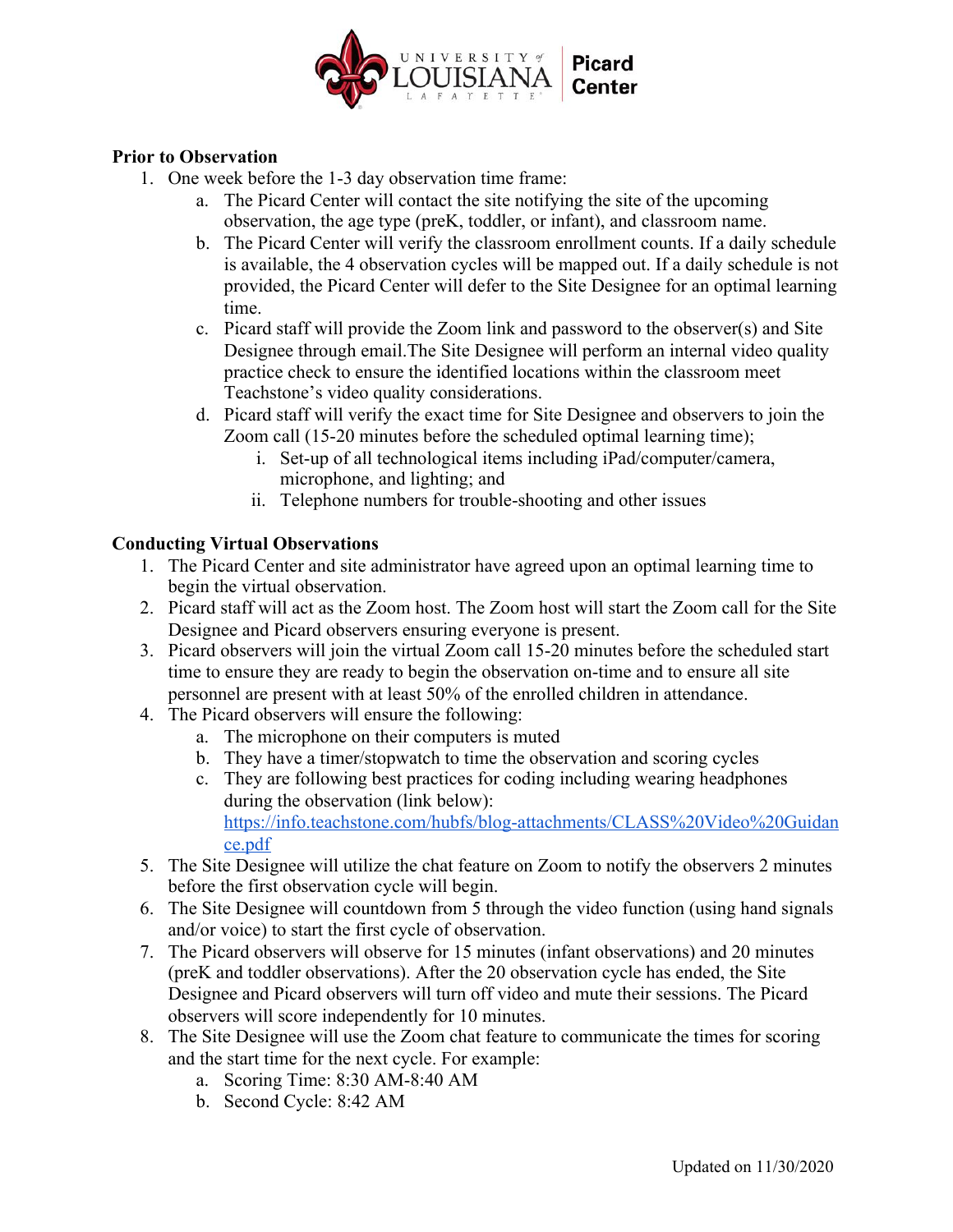

### **Prior to Observation**

- 1. One week before the 1-3 day observation time frame:
	- a. The Picard Center will contact the site notifying the site of the upcoming observation, the age type (preK, toddler, or infant), and classroom name.
	- b. The Picard Center will verify the classroom enrollment counts. If a daily schedule is available, the 4 observation cycles will be mapped out. If a daily schedule is not provided, the Picard Center will defer to the Site Designee for an optimal learning time.
	- c. Picard staff will provide the Zoom link and password to the observer(s) and Site Designee through email.The Site Designee will perform an internal video quality practice check to ensure the identified locations within the classroom meet Teachstone's video quality considerations.
	- d. Picard staff will verify the exact time for Site Designee and observers to join the Zoom call (15-20 minutes before the scheduled optimal learning time);
		- i. Set-up of all technological items including iPad/computer/camera, microphone, and lighting; and
		- ii. Telephone numbers for trouble-shooting and other issues

## **Conducting Virtual Observations**

- 1. The Picard Center and site administrator have agreed upon an optimal learning time to begin the virtual observation.
- 2. Picard staff will act as the Zoom host. The Zoom host will start the Zoom call for the Site Designee and Picard observers ensuring everyone is present.
- 3. Picard observers will join the virtual Zoom call 15-20 minutes before the scheduled start time to ensure they are ready to begin the observation on-time and to ensure all site personnel are present with at least 50% of the enrolled children in attendance.
- 4. The Picard observers will ensure the following:
	- a. The microphone on their computers is muted
	- b. They have a timer/stopwatch to time the observation and scoring cycles
	- c. They are following best practices for coding including wearing headphones during the observation (link below): https://info.teachstone.com/hubfs/blog-attachments/CLASS%20Video%20Guidan

ce.pdf

- 5. The Site Designee will utilize the chat feature on Zoom to notify the observers 2 minutes before the first observation cycle will begin.
- 6. The Site Designee will countdown from 5 through the video function (using hand signals and/or voice) to start the first cycle of observation.
- 7. The Picard observers will observe for 15 minutes (infant observations) and 20 minutes (preK and toddler observations). After the 20 observation cycle has ended, the Site Designee and Picard observers will turn off video and mute their sessions. The Picard observers will score independently for 10 minutes.
- 8. The Site Designee will use the Zoom chat feature to communicate the times for scoring and the start time for the next cycle. For example:
	- a. Scoring Time: 8:30 AM-8:40 AM
	- b. Second Cycle: 8:42 AM